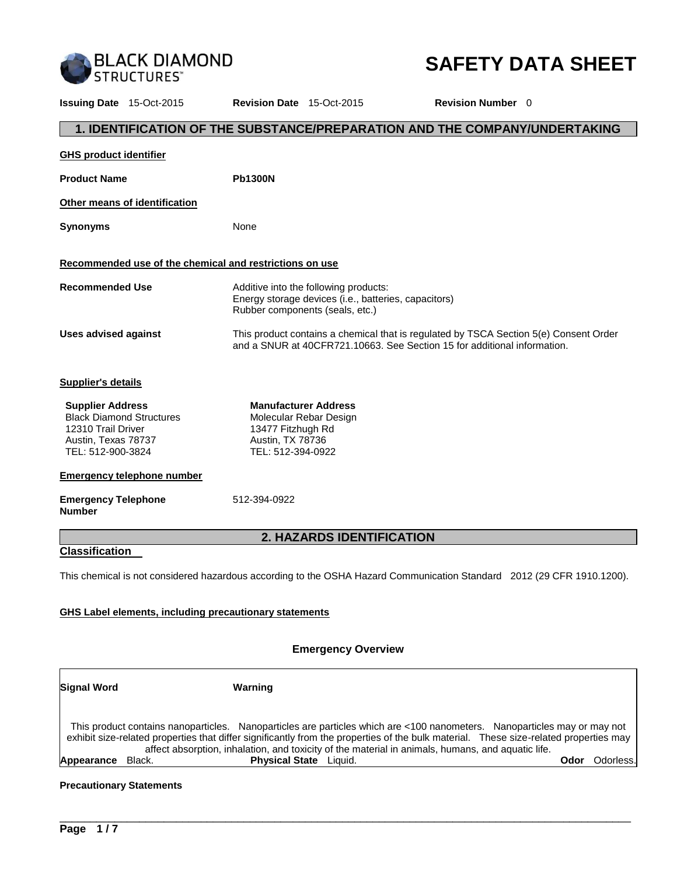

# **SAFETY DATA SHEET**

**Issuing Date** 15-Oct-2015 **Revision Date** 15-Oct-2015 **Revision Number** 0 **1. IDENTIFICATION OF THE SUBSTANCE/PREPARATION AND THE COMPANY/UNDERTAKING GHS product identifier** Product Name **Ph1300N Other means of identification Synonyms** None **Recommended use of the chemical and restrictions on use Recommended Use** Additive into the following products: Energy storage devices (i.e., batteries, capacitors) Rubber components (seals, etc.) **Uses advised against** This product contains a chemical that is regulated by TSCA Section 5(e) Consent Order and a SNUR at 40CFR721.10663. See Section 15 for additional information. **Supplier's details Supplier Address** Black Diamond Structures 12310 Trail Driver Austin, Texas 78737 TEL: 512-900-3824 **Manufacturer Address** Molecular Rebar Design 13477 Fitzhugh Rd Austin, TX 78736 TEL: 512-394-0922 **Emergency telephone number Emergency Telephone Number**  512-394-0922 **2. HAZARDS IDENTIFICATION Classification**  This chemical is not considered hazardous according to the OSHA Hazard Communication Standard 2012 (29 CFR 1910.1200). **GHS Label elements, including precautionary statements**

#### **Emergency Overview**

| <b>Signal Word</b>   | Warning                                                                                                                                                                                                                                                                                                                                                                |                   |
|----------------------|------------------------------------------------------------------------------------------------------------------------------------------------------------------------------------------------------------------------------------------------------------------------------------------------------------------------------------------------------------------------|-------------------|
|                      | This product contains nanoparticles. Nanoparticles are particles which are <100 nanometers. Nanoparticles may or may not<br>exhibit size-related properties that differ significantly from the properties of the bulk material. These size-related properties may<br>affect absorption, inhalation, and toxicity of the material in animals, humans, and aquatic life. |                   |
| Appearance<br>Black. | <b>Physical State</b> Liquid.                                                                                                                                                                                                                                                                                                                                          | Odorless.<br>Odor |

\_\_\_\_\_\_\_\_\_\_\_\_\_\_\_\_\_\_\_\_\_\_\_\_\_\_\_\_\_\_\_\_\_\_\_\_\_\_\_\_\_\_\_\_\_\_\_\_\_\_\_\_\_\_\_\_\_\_\_\_\_\_\_\_\_\_\_\_\_\_\_\_\_\_\_\_\_\_\_\_\_\_\_\_\_\_\_\_\_\_\_\_\_

#### **Precautionary Statements**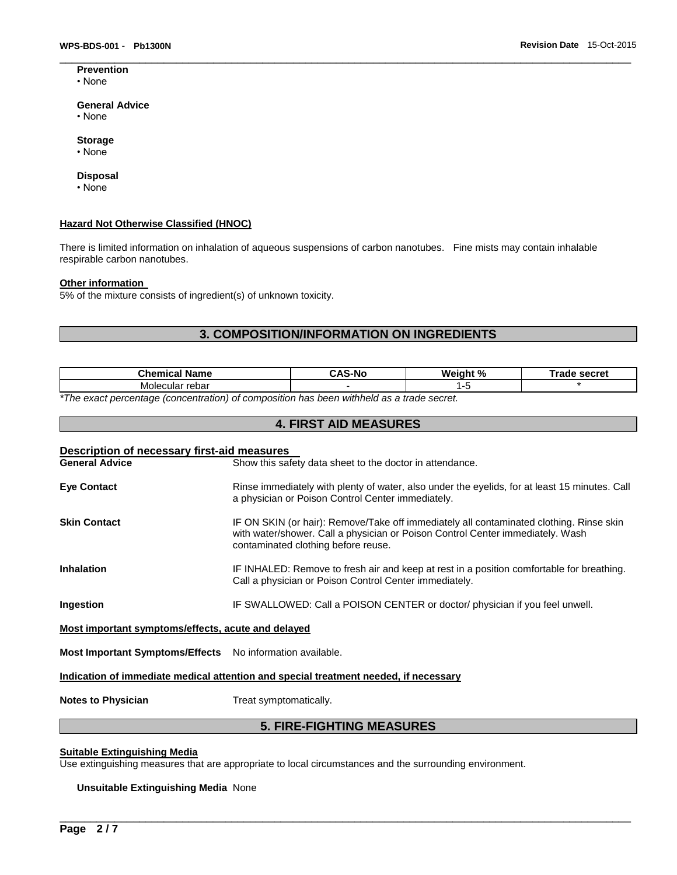**Prevention** • None

#### **General Advice**

- None
- **Storage**
- None

#### **Disposal**

• None

#### **Hazard Not Otherwise Classified (HNOC)**

There is limited information on inhalation of aqueous suspensions of carbon nanotubes. Fine mists may contain inhalable respirable carbon nanotubes.

#### **Other information**

5% of the mixture consists of ingredient(s) of unknown toxicity.

## **3. COMPOSITION/INFORMATION ON INGREDIENTS**

 $\Box$ 

| <b>Chemical Name</b>                                                                                       | -Nc | Weight % | secret<br>™rade |
|------------------------------------------------------------------------------------------------------------|-----|----------|-----------------|
| cular rebar<br>Moleo                                                                                       |     | . .      |                 |
| $\star$ The concentration from fractional of concentration has been initiated to a fund control of $\star$ |     |          |                 |

**4. FIRST AID MEASURES** 

*\*The exact percentage (concentration) of composition has been withheld as a trade secret.* 

| Description of necessary first-aid measures               |                                                                                                                                                                                                                  |  |  |  |  |
|-----------------------------------------------------------|------------------------------------------------------------------------------------------------------------------------------------------------------------------------------------------------------------------|--|--|--|--|
| <b>General Advice</b>                                     | Show this safety data sheet to the doctor in attendance.                                                                                                                                                         |  |  |  |  |
| <b>Eye Contact</b>                                        | Rinse immediately with plenty of water, also under the eyelids, for at least 15 minutes. Call<br>a physician or Poison Control Center immediately.                                                               |  |  |  |  |
| <b>Skin Contact</b>                                       | IF ON SKIN (or hair): Remove/Take off immediately all contaminated clothing. Rinse skin<br>with water/shower. Call a physician or Poison Control Center immediately. Wash<br>contaminated clothing before reuse. |  |  |  |  |
| <b>Inhalation</b>                                         | IF INHALED: Remove to fresh air and keep at rest in a position comfortable for breathing.<br>Call a physician or Poison Control Center immediately.                                                              |  |  |  |  |
| Ingestion                                                 | IF SWALLOWED: Call a POISON CENTER or doctor/ physician if you feel unwell.                                                                                                                                      |  |  |  |  |
| Most important symptoms/effects, acute and delayed        |                                                                                                                                                                                                                  |  |  |  |  |
| Most Important Symptoms/Effects No information available. |                                                                                                                                                                                                                  |  |  |  |  |
|                                                           | Indication of immediate medical attention and special treatment needed, if necessary                                                                                                                             |  |  |  |  |

**Notes to Physician Treat symptomatically.** 

## **5. FIRE-FIGHTING MEASURES**

\_\_\_\_\_\_\_\_\_\_\_\_\_\_\_\_\_\_\_\_\_\_\_\_\_\_\_\_\_\_\_\_\_\_\_\_\_\_\_\_\_\_\_\_\_\_\_\_\_\_\_\_\_\_\_\_\_\_\_\_\_\_\_\_\_\_\_\_\_\_\_\_\_\_\_\_\_\_\_\_\_\_\_\_\_\_\_\_\_\_\_\_\_

## **Suitable Extinguishing Media**

Use extinguishing measures that are appropriate to local circumstances and the surrounding environment.

#### **Unsuitable Extinguishing Media** None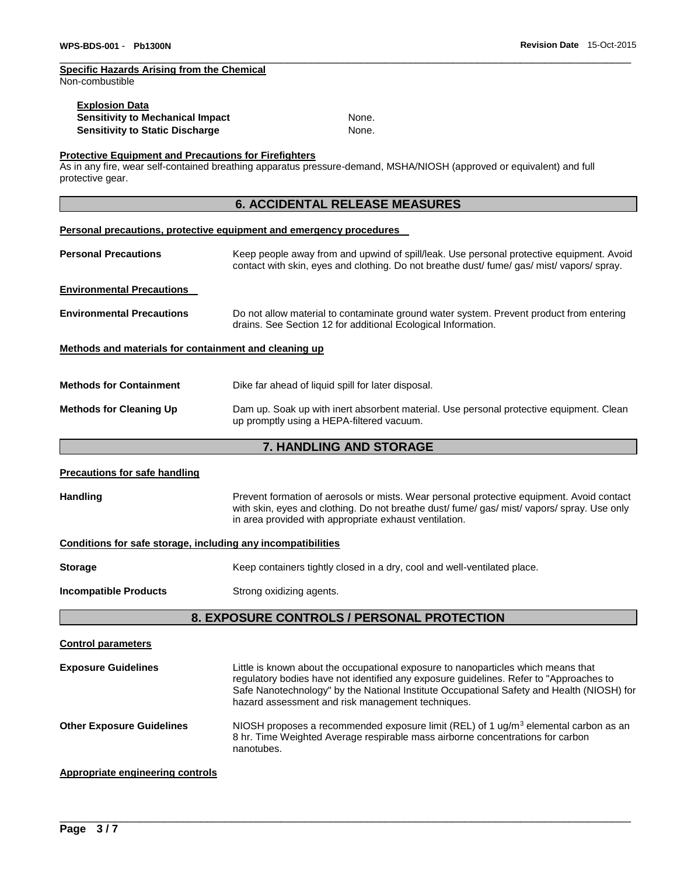## **Specific Hazards Arising from the Chemical**

Non-combustible

| <b>Explosion Data</b>            |       |
|----------------------------------|-------|
| Sensitivity to Mechanical Impact | None. |
| Sensitivity to Static Discharge  | None. |

 $\Box$ 

#### **Protective Equipment and Precautions for Firefighters**

As in any fire, wear self-contained breathing apparatus pressure-demand, MSHA/NIOSH (approved or equivalent) and full protective gear.

## **6. ACCIDENTAL RELEASE MEASURES**

#### **Personal precautions, protective equipment and emergency procedures**

| <b>Personal Precautions</b>                           | Keep people away from and upwind of spill/leak. Use personal protective equipment. Avoid<br>contact with skin, eyes and clothing. Do not breathe dust fume gas mist vapors spray. |  |
|-------------------------------------------------------|-----------------------------------------------------------------------------------------------------------------------------------------------------------------------------------|--|
| <b>Environmental Precautions</b>                      |                                                                                                                                                                                   |  |
| <b>Environmental Precautions</b>                      | Do not allow material to contaminate ground water system. Prevent product from entering<br>drains. See Section 12 for additional Ecological Information.                          |  |
| Methods and materials for containment and cleaning up |                                                                                                                                                                                   |  |
| <b>Methods for Containment</b>                        | Dike far ahead of liquid spill for later disposal.                                                                                                                                |  |
| <b>Methods for Cleaning Up</b>                        | Dam up. Soak up with inert absorbent material. Use personal protective equipment. Clean<br>up promptly using a HEPA-filtered vacuum.                                              |  |

## **7. HANDLING AND STORAGE**

| <b>Precautions for safe handling</b>                         |                                                                                                                                                                                                                                                                                                                               |  |  |
|--------------------------------------------------------------|-------------------------------------------------------------------------------------------------------------------------------------------------------------------------------------------------------------------------------------------------------------------------------------------------------------------------------|--|--|
| <b>Handling</b>                                              | Prevent formation of aerosols or mists. Wear personal protective equipment. Avoid contact<br>with skin, eyes and clothing. Do not breathe dust/ fume/ gas/ mist/ vapors/ spray. Use only<br>in area provided with appropriate exhaust ventilation.                                                                            |  |  |
| Conditions for safe storage, including any incompatibilities |                                                                                                                                                                                                                                                                                                                               |  |  |
| <b>Storage</b>                                               | Keep containers tightly closed in a dry, cool and well-ventilated place.                                                                                                                                                                                                                                                      |  |  |
| <b>Incompatible Products</b>                                 | Strong oxidizing agents.                                                                                                                                                                                                                                                                                                      |  |  |
| 8. EXPOSURE CONTROLS / PERSONAL PROTECTION                   |                                                                                                                                                                                                                                                                                                                               |  |  |
| <b>Control parameters</b>                                    |                                                                                                                                                                                                                                                                                                                               |  |  |
| <b>Exposure Guidelines</b>                                   | Little is known about the occupational exposure to nanoparticles which means that<br>regulatory bodies have not identified any exposure guidelines. Refer to "Approaches to<br>Safe Nanotechnology" by the National Institute Occupational Safety and Health (NIOSH) for<br>hazard assessment and risk management techniques. |  |  |
| <b>Other Exposure Guidelines</b>                             | NIOSH proposes a recommended exposure limit (REL) of 1 $\mu$ g/m <sup>3</sup> elemental carbon as an<br>8 hr. Time Weighted Average respirable mass airborne concentrations for carbon<br>nanotubes.                                                                                                                          |  |  |
| <b>Appropriate engineering controls</b>                      |                                                                                                                                                                                                                                                                                                                               |  |  |

\_\_\_\_\_\_\_\_\_\_\_\_\_\_\_\_\_\_\_\_\_\_\_\_\_\_\_\_\_\_\_\_\_\_\_\_\_\_\_\_\_\_\_\_\_\_\_\_\_\_\_\_\_\_\_\_\_\_\_\_\_\_\_\_\_\_\_\_\_\_\_\_\_\_\_\_\_\_\_\_\_\_\_\_\_\_\_\_\_\_\_\_\_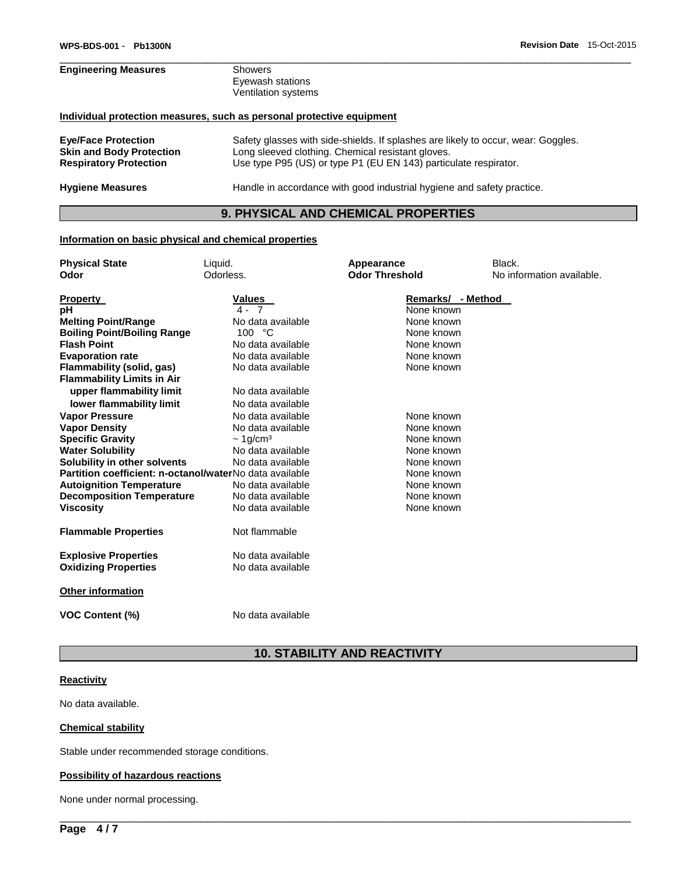# **Engineering Measures** Showers Eyewash stations Ventilation systems **Individual protection measures, such as personal protective equipment Eye/Face Protection** Safety glasses with side-shields. If splashes are likely to occur, wear: Goggles. Long sleeved clothing. Chemical resistant gloves.

**Respiratory Protection** Use type P95 (US) or type P1 (EU EN 143) particulate respirator. **Hygiene Measures** Handle in accordance with good industrial hygiene and safety practice.

## **9. PHYSICAL AND CHEMICAL PROPERTIES**

 $\Box$ 

#### **Information on basic physical and chemical properties**

| <b>Physical State</b>                                   | Liquid.                    | Appearance            | Black.                    |
|---------------------------------------------------------|----------------------------|-----------------------|---------------------------|
| Odor                                                    | Odorless.                  | <b>Odor Threshold</b> | No information available. |
|                                                         | <b>Values</b>              | Remarks/ - Method     |                           |
| <b>Property</b><br>рH                                   | $4 - 7$                    | None known            |                           |
| <b>Melting Point/Range</b>                              | No data available          | None known            |                           |
| <b>Boiling Point/Boiling Range</b>                      | 100 °C                     | None known            |                           |
| <b>Flash Point</b>                                      | No data available          | None known            |                           |
| <b>Evaporation rate</b>                                 | No data available          | None known            |                           |
| Flammability (solid, gas)                               | No data available          | None known            |                           |
| <b>Flammability Limits in Air</b>                       |                            |                       |                           |
| upper flammability limit                                | No data available          |                       |                           |
| lower flammability limit                                | No data available          |                       |                           |
| <b>Vapor Pressure</b>                                   | No data available          | None known            |                           |
| <b>Vapor Density</b>                                    | No data available          | None known            |                           |
| <b>Specific Gravity</b>                                 | $\sim 1$ g/cm <sup>3</sup> | None known            |                           |
| <b>Water Solubility</b>                                 | No data available          | None known            |                           |
| Solubility in other solvents                            | No data available          | None known            |                           |
| Partition coefficient: n-octanol/waterNo data available |                            | None known            |                           |
| <b>Autoignition Temperature</b>                         | No data available          | None known            |                           |
| <b>Decomposition Temperature</b>                        | No data available          | None known            |                           |
| <b>Viscosity</b>                                        | No data available          | None known            |                           |
| <b>Flammable Properties</b>                             | Not flammable              |                       |                           |
| <b>Explosive Properties</b>                             | No data available          |                       |                           |
| <b>Oxidizing Properties</b>                             | No data available          |                       |                           |
| <b>Other information</b>                                |                            |                       |                           |
| <b>VOC Content (%)</b>                                  | No data available          |                       |                           |

## **10. STABILITY AND REACTIVITY**

\_\_\_\_\_\_\_\_\_\_\_\_\_\_\_\_\_\_\_\_\_\_\_\_\_\_\_\_\_\_\_\_\_\_\_\_\_\_\_\_\_\_\_\_\_\_\_\_\_\_\_\_\_\_\_\_\_\_\_\_\_\_\_\_\_\_\_\_\_\_\_\_\_\_\_\_\_\_\_\_\_\_\_\_\_\_\_\_\_\_\_\_\_

#### **Reactivity**

No data available.

#### **Chemical stability**

Stable under recommended storage conditions.

#### **Possibility of hazardous reactions**

None under normal processing.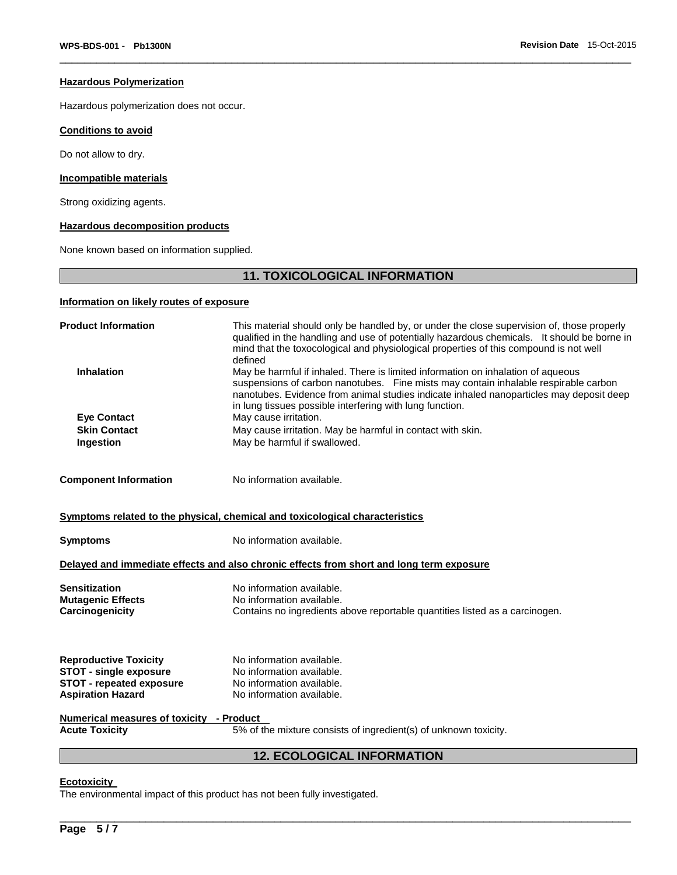#### **Hazardous Polymerization**

Hazardous polymerization does not occur.

#### **Conditions to avoid**

Do not allow to dry.

#### **Incompatible materials**

Strong oxidizing agents.

#### **Hazardous decomposition products**

None known based on information supplied.

## **11. TOXICOLOGICAL INFORMATION**

 $\Box$ 

## **Information on likely routes of exposure**

| <b>Product Information</b>                                       | This material should only be handled by, or under the close supervision of, those properly<br>qualified in the handling and use of potentially hazardous chemicals. It should be borne in<br>mind that the toxocological and physiological properties of this compound is not well<br>defined                                  |  |  |
|------------------------------------------------------------------|--------------------------------------------------------------------------------------------------------------------------------------------------------------------------------------------------------------------------------------------------------------------------------------------------------------------------------|--|--|
| <b>Inhalation</b>                                                | May be harmful if inhaled. There is limited information on inhalation of aqueous<br>suspensions of carbon nanotubes. Fine mists may contain inhalable respirable carbon<br>nanotubes. Evidence from animal studies indicate inhaled nanoparticles may deposit deep<br>in lung tissues possible interfering with lung function. |  |  |
| <b>Eye Contact</b>                                               | May cause irritation.                                                                                                                                                                                                                                                                                                          |  |  |
| <b>Skin Contact</b>                                              | May cause irritation. May be harmful in contact with skin.                                                                                                                                                                                                                                                                     |  |  |
| Ingestion                                                        | May be harmful if swallowed.                                                                                                                                                                                                                                                                                                   |  |  |
| <b>Component Information</b>                                     | No information available.                                                                                                                                                                                                                                                                                                      |  |  |
|                                                                  | Symptoms related to the physical, chemical and toxicological characteristics                                                                                                                                                                                                                                                   |  |  |
| Symptoms                                                         | No information available.                                                                                                                                                                                                                                                                                                      |  |  |
|                                                                  | Delayed and immediate effects and also chronic effects from short and long term exposure                                                                                                                                                                                                                                       |  |  |
| Sensitization                                                    | No information available.                                                                                                                                                                                                                                                                                                      |  |  |
| <b>Mutagenic Effects</b>                                         | No information available.                                                                                                                                                                                                                                                                                                      |  |  |
| Carcinogenicity                                                  | Contains no ingredients above reportable quantities listed as a carcinogen.                                                                                                                                                                                                                                                    |  |  |
|                                                                  |                                                                                                                                                                                                                                                                                                                                |  |  |
| <b>Reproductive Toxicity</b>                                     | No information available.                                                                                                                                                                                                                                                                                                      |  |  |
| <b>STOT - single exposure</b><br><b>STOT - repeated exposure</b> | No information available.<br>No information available.                                                                                                                                                                                                                                                                         |  |  |
| <b>Aspiration Hazard</b>                                         | No information available.                                                                                                                                                                                                                                                                                                      |  |  |
|                                                                  |                                                                                                                                                                                                                                                                                                                                |  |  |
| Numerical measures of toxicity - Product                         |                                                                                                                                                                                                                                                                                                                                |  |  |
| <b>Acute Toxicity</b>                                            | 5% of the mixture consists of ingredient(s) of unknown toxicity.                                                                                                                                                                                                                                                               |  |  |
| <b>12. ECOLOGICAL INFORMATION</b>                                |                                                                                                                                                                                                                                                                                                                                |  |  |
|                                                                  |                                                                                                                                                                                                                                                                                                                                |  |  |

\_\_\_\_\_\_\_\_\_\_\_\_\_\_\_\_\_\_\_\_\_\_\_\_\_\_\_\_\_\_\_\_\_\_\_\_\_\_\_\_\_\_\_\_\_\_\_\_\_\_\_\_\_\_\_\_\_\_\_\_\_\_\_\_\_\_\_\_\_\_\_\_\_\_\_\_\_\_\_\_\_\_\_\_\_\_\_\_\_\_\_\_\_

#### **Ecotoxicity**

The environmental impact of this product has not been fully investigated.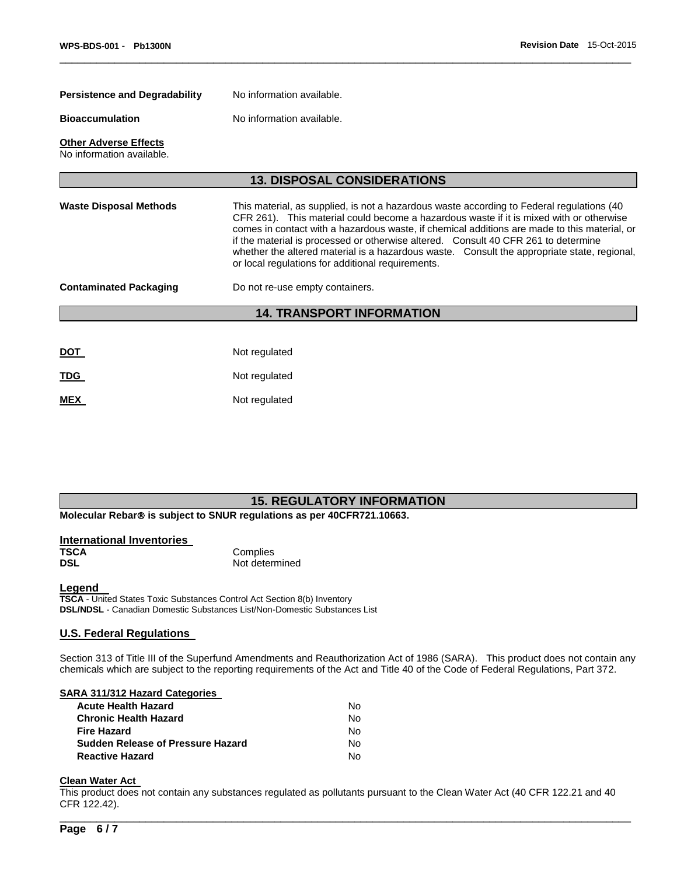| <b>Persistence and Degradability</b>                      | No information available.                                                                                                                                                                                                                                                                                                                                                                                                                                                                                                      |  |  |
|-----------------------------------------------------------|--------------------------------------------------------------------------------------------------------------------------------------------------------------------------------------------------------------------------------------------------------------------------------------------------------------------------------------------------------------------------------------------------------------------------------------------------------------------------------------------------------------------------------|--|--|
| <b>Bioaccumulation</b>                                    | No information available.                                                                                                                                                                                                                                                                                                                                                                                                                                                                                                      |  |  |
| <b>Other Adverse Effects</b><br>No information available. |                                                                                                                                                                                                                                                                                                                                                                                                                                                                                                                                |  |  |
|                                                           | <b>13. DISPOSAL CONSIDERATIONS</b>                                                                                                                                                                                                                                                                                                                                                                                                                                                                                             |  |  |
| <b>Waste Disposal Methods</b>                             | This material, as supplied, is not a hazardous waste according to Federal regulations (40<br>CFR 261). This material could become a hazardous waste if it is mixed with or otherwise<br>comes in contact with a hazardous waste, if chemical additions are made to this material, or<br>if the material is processed or otherwise altered. Consult 40 CFR 261 to determine<br>whether the altered material is a hazardous waste. Consult the appropriate state, regional,<br>or local regulations for additional requirements. |  |  |
| <b>Contaminated Packaging</b>                             | Do not re-use empty containers.                                                                                                                                                                                                                                                                                                                                                                                                                                                                                                |  |  |
|                                                           | <b>14. TRANSPORT INFORMATION</b>                                                                                                                                                                                                                                                                                                                                                                                                                                                                                               |  |  |
|                                                           |                                                                                                                                                                                                                                                                                                                                                                                                                                                                                                                                |  |  |
| <u>DOT</u>                                                | Not regulated                                                                                                                                                                                                                                                                                                                                                                                                                                                                                                                  |  |  |
| TDG                                                       | Not regulated                                                                                                                                                                                                                                                                                                                                                                                                                                                                                                                  |  |  |
| <b>MEX</b>                                                | Not regulated                                                                                                                                                                                                                                                                                                                                                                                                                                                                                                                  |  |  |

 $\Box$ 

## **15. REGULATORY INFORMATION**

**Molecular Rebar<sup>®</sup> is subject to SNUR regulations as per 40CFR721.10663.** 

| International Inventories |                |
|---------------------------|----------------|
| <b>TSCA</b>               | Complies       |
| <b>DSL</b>                | Not determined |

#### **Legend**

**TSCA** - United States Toxic Substances Control Act Section 8(b) Inventory **DSL/NDSL** - Canadian Domestic Substances List/Non-Domestic Substances List

#### **U.S. Federal Regulations**

Section 313 of Title III of the Superfund Amendments and Reauthorization Act of 1986 (SARA). This product does not contain any chemicals which are subject to the reporting requirements of the Act and Title 40 of the Code of Federal Regulations, Part 372.

#### **SARA 311/312 Hazard Categories**

| No. |
|-----|
| N٥  |
| No. |
| No. |
| N٥  |
|     |

# **Clean Water Act**

This product does not contain any substances regulated as pollutants pursuant to the Clean Water Act (40 CFR 122.21 and 40 CFR 122.42).

\_\_\_\_\_\_\_\_\_\_\_\_\_\_\_\_\_\_\_\_\_\_\_\_\_\_\_\_\_\_\_\_\_\_\_\_\_\_\_\_\_\_\_\_\_\_\_\_\_\_\_\_\_\_\_\_\_\_\_\_\_\_\_\_\_\_\_\_\_\_\_\_\_\_\_\_\_\_\_\_\_\_\_\_\_\_\_\_\_\_\_\_\_